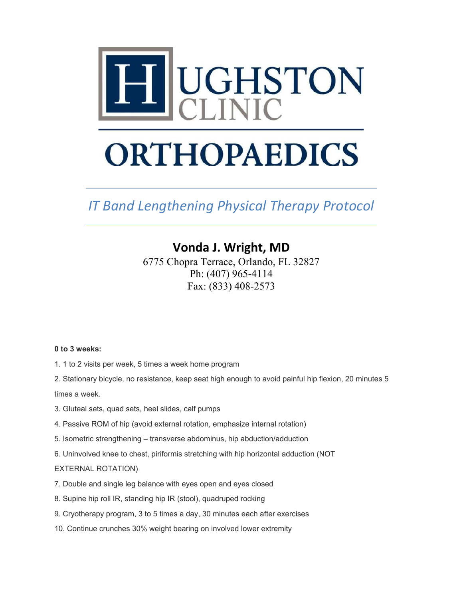

# **ORTHOPAEDICS**

*IT Band Lengthening Physical Therapy Protocol*

# **Vonda J. Wright, MD**

6775 Chopra Terrace, Orlando, FL 32827 Ph: (407) 965-4114 Fax: (833) 408-2573

# **0 to 3 weeks:**

- 1. 1 to 2 visits per week, 5 times a week home program
- 2. Stationary bicycle, no resistance, keep seat high enough to avoid painful hip flexion, 20 minutes 5 times a week.
- 3. Gluteal sets, quad sets, heel slides, calf pumps
- 4. Passive ROM of hip (avoid external rotation, emphasize internal rotation)
- 5. Isometric strengthening transverse abdominus, hip abduction/adduction
- 6. Uninvolved knee to chest, piriformis stretching with hip horizontal adduction (NOT

# EXTERNAL ROTATION)

- 7. Double and single leg balance with eyes open and eyes closed
- 8. Supine hip roll IR, standing hip IR (stool), quadruped rocking
- 9. Cryotherapy program, 3 to 5 times a day, 30 minutes each after exercises
- 10. Continue crunches 30% weight bearing on involved lower extremity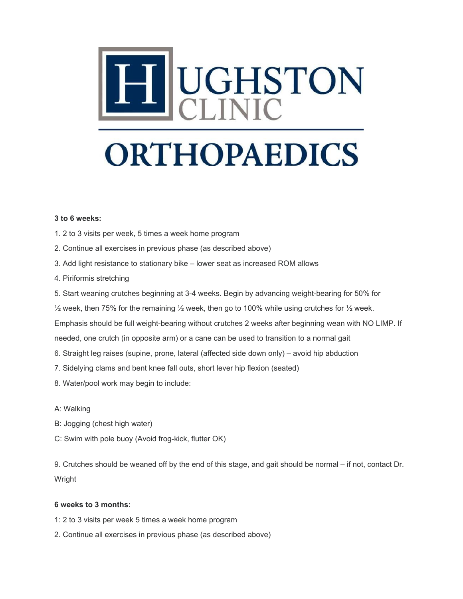

#### **3 to 6 weeks:**

- 1. 2 to 3 visits per week, 5 times a week home program
- 2. Continue all exercises in previous phase (as described above)
- 3. Add light resistance to stationary bike lower seat as increased ROM allows
- 4. Piriformis stretching
- 5. Start weaning crutches beginning at 3-4 weeks. Begin by advancing weight-bearing for 50% for
- $\frac{1}{2}$  week, then 75% for the remaining  $\frac{1}{2}$  week, then go to 100% while using crutches for  $\frac{1}{2}$  week.

Emphasis should be full weight-bearing without crutches 2 weeks after beginning wean with NO LIMP. If

needed, one crutch (in opposite arm) or a cane can be used to transition to a normal gait

- 6. Straight leg raises (supine, prone, lateral (affected side down only) avoid hip abduction
- 7. Sidelying clams and bent knee fall outs, short lever hip flexion (seated)
- 8. Water/pool work may begin to include:
- A: Walking
- B: Jogging (chest high water)
- C: Swim with pole buoy (Avoid frog-kick, flutter OK)

9. Crutches should be weaned off by the end of this stage, and gait should be normal – if not, contact Dr. Wright

# **6 weeks to 3 months:**

- 1: 2 to 3 visits per week 5 times a week home program
- 2. Continue all exercises in previous phase (as described above)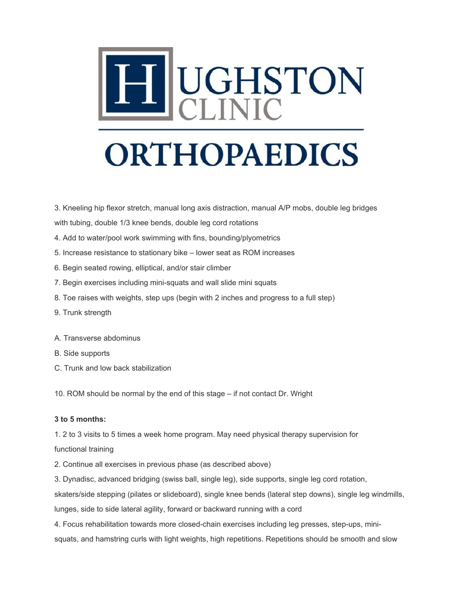

3. Kneeling hip flexor stretch, manual long axis distraction, manual A/P mobs, double leg bridges

with tubing, double 1/3 knee bends, double leg cord rotations

- 4. Add to water/pool work swimming with fins, bounding/plyometrics
- 5. Increase resistance to stationary bike lower seat as ROM increases
- 6. Begin seated rowing, elliptical, and/or stair climber
- 7. Begin exercises including mini-squats and wall slide mini squats
- 8. Toe raises with weights, step ups (begin with 2 inches and progress to a full step)
- 9. Trunk strength
- A. Transverse abdominus
- B. Side supports
- C. Trunk and low back stabilization

10. ROM should be normal by the end of this stage – if not contact Dr. Wright

#### **3 to 5 months:**

1. 2 to 3 visits to 5 times a week home program. May need physical therapy supervision for

#### functional training

2. Continue all exercises in previous phase (as described above)

3. Dynadisc, advanced bridging (swiss ball, single leg), side supports, single leg cord rotation,

skaters/side stepping (pilates or slideboard), single knee bends (lateral step downs), single leg windmills,

lunges, side to side lateral agility, forward or backward running with a cord

4. Focus rehabilitation towards more closed-chain exercises including leg presses, step-ups, minisquats, and hamstring curls with light weights, high repetitions. Repetitions should be smooth and slow